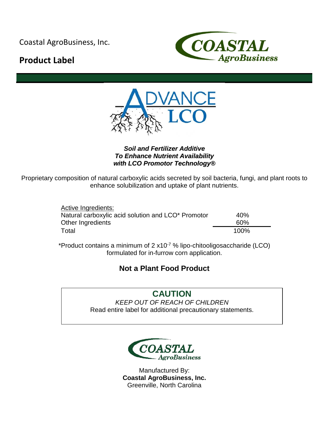Coastal AgroBusiness, Inc.

# **Product Label**





## *Soil and Fertilizer Additive To Enhance Nutrient Availability with LCO Promotor Technology®*

Proprietary composition of natural carboxylic acids secreted by soil bacteria, fungi, and plant roots to enhance solubilization and uptake of plant nutrients.

| Active Ingredients:                                |      |
|----------------------------------------------------|------|
| Natural carboxylic acid solution and LCO* Promotor | 40%  |
| Other Ingredients                                  | 60%  |
| Total                                              | 100% |

\*Product contains a minimum of  $2 \times 10^{-7}$  % lipo-chitooligosaccharide (LCO) formulated for in-furrow corn application.

# **Not a Plant Food Product**

**CAUTION** *KEEP OUT OF REACH OF CHILDREN* Read entire label for additional precautionary statements.



Manufactured By: **Coastal AgroBusiness, Inc.** Greenville, North Carolina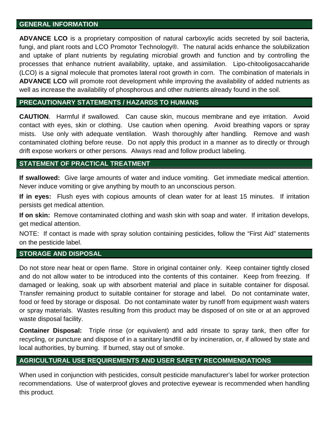#### **GENERAL INFORMATION**

**ADVANCE LCO** is a proprietary composition of natural carboxylic acids secreted by soil bacteria, fungi, and plant roots and LCO Promotor Technology®. The natural acids enhance the solubilization and uptake of plant nutrients by regulating microbial growth and function and by controlling the processes that enhance nutrient availability, uptake, and assimilation. Lipo-chitooligosaccaharide (LCO) is a signal molecule that promotes lateral root growth in corn. The combination of materials in **ADVANCE LCO** will promote root development while improving the availability of added nutrients as well as increase the availability of phosphorous and other nutrients already found in the soil.

#### **PRECAUTIONARY STATEMENTS / HAZARDS TO HUMANS**

**CAUTION**. Harmful if swallowed. Can cause skin, mucous membrane and eye irritation. Avoid contact with eyes, skin or clothing. Use caution when opening. Avoid breathing vapors or spray mists. Use only with adequate ventilation. Wash thoroughly after handling. Remove and wash contaminated clothing before reuse. Do not apply this product in a manner as to directly or through drift expose workers or other persons. Always read and follow product labeling.

# **STATEMENT OF PRACTICAL TREATMENT**

**If swallowed:** Give large amounts of water and induce vomiting. Get immediate medical attention. Never induce vomiting or give anything by mouth to an unconscious person.

**If in eyes:** Flush eyes with copious amounts of clean water for at least 15 minutes. If irritation persists get medical attention.

**If on skin:** Remove contaminated clothing and wash skin with soap and water. If irritation develops, get medical attention.

NOTE: If contact is made with spray solution containing pesticides, follow the "First Aid" statements on the pesticide label.

#### **STORAGE AND DISPOSAL**

Do not store near heat or open flame. Store in original container only. Keep container tightly closed and do not allow water to be introduced into the contents of this container. Keep from freezing. If damaged or leaking, soak up with absorbent material and place in suitable container for disposal. Transfer remaining product to suitable container for storage and label. Do not contaminate water, food or feed by storage or disposal. Do not contaminate water by runoff from equipment wash waters or spray materials. Wastes resulting from this product may be disposed of on site or at an approved waste disposal facility.

**Container Disposal:** Triple rinse (or equivalent) and add rinsate to spray tank, then offer for recycling, or puncture and dispose of in a sanitary landfill or by incineration, or, if allowed by state and local authorities, by burning. If burned, stay out of smoke.

# **AGRICULTURAL USE REQUIREMENTS AND USER SAFETY RECOMMENDATIONS**

When used in conjunction with pesticides, consult pesticide manufacturer's label for worker protection recommendations. Use of waterproof gloves and protective eyewear is recommended when handling this product.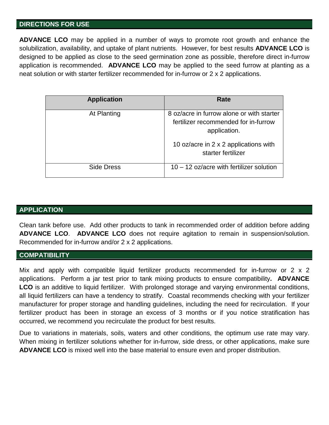#### **DIRECTIONS FOR USE**

**ADVANCE LCO** may be applied in a number of ways to promote root growth and enhance the solubilization, availability, and uptake of plant nutrients. However, for best results **ADVANCE LCO** is designed to be applied as close to the seed germination zone as possible, therefore direct in-furrow application is recommended. **ADVANCE LCO** may be applied to the seed furrow at planting as a neat solution or with starter fertilizer recommended for in-furrow or 2 x 2 applications.

| <b>Application</b> | Rate                                                                                                                                                             |
|--------------------|------------------------------------------------------------------------------------------------------------------------------------------------------------------|
| At Planting        | 8 oz/acre in furrow alone or with starter<br>fertilizer recommended for in-furrow<br>application.<br>10 oz/acre in 2 x 2 applications with<br>starter fertilizer |
| Side Dress         | $10 - 12$ oz/acre with fertilizer solution                                                                                                                       |

# **APPLICATION**

Clean tank before use. Add other products to tank in recommended order of addition before adding **ADVANCE LCO**. **ADVANCE LCO** does not require agitation to remain in suspension/solution. Recommended for in-furrow and/or 2 x 2 applications.

# **COMPATIBILITY**

Mix and apply with compatible liquid fertilizer products recommended for in-furrow or 2 x 2 applications. Perform a jar test prior to tank mixing products to ensure compatibility**. ADVANCE LCO** is an additive to liquid fertilizer. With prolonged storage and varying environmental conditions, all liquid fertilizers can have a tendency to stratify. Coastal recommends checking with your fertilizer manufacturer for proper storage and handling guidelines, including the need for recirculation. If your fertilizer product has been in storage an excess of 3 months or if you notice stratification has occurred, we recommend you recirculate the product for best results.

Due to variations in materials, soils, waters and other conditions, the optimum use rate may vary. When mixing in fertilizer solutions whether for in-furrow, side dress, or other applications, make sure **ADVANCE LCO** is mixed well into the base material to ensure even and proper distribution.